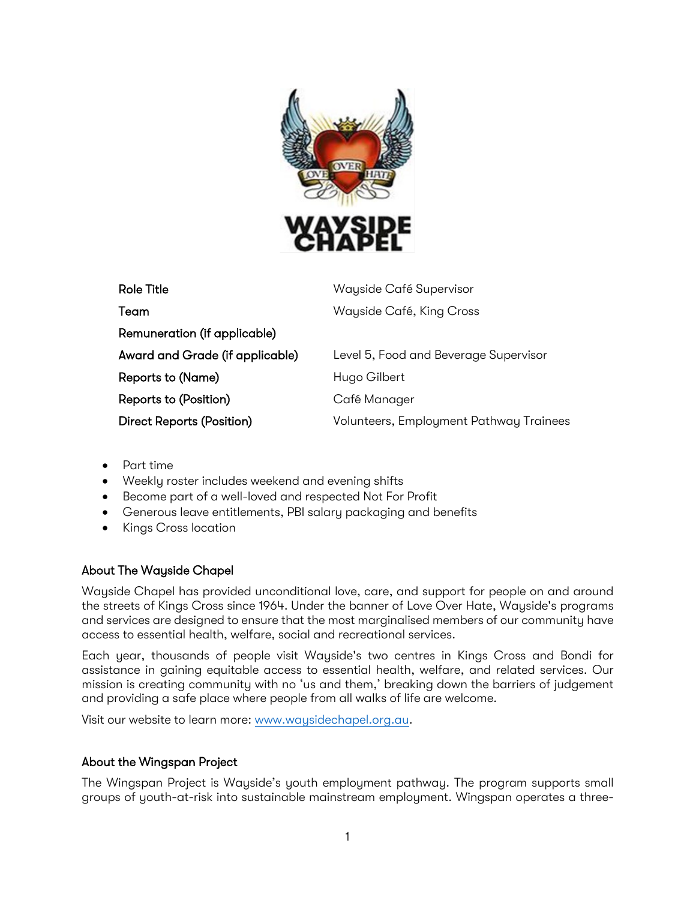

| Role Title                      | Wayside Café Supervisor                 |
|---------------------------------|-----------------------------------------|
| Team                            | Wayside Café, King Cross                |
| Remuneration (if applicable)    |                                         |
| Award and Grade (if applicable) | Level 5, Food and Beverage Supervisor   |
| Reports to (Name)               | Hugo Gilbert                            |
| Reports to (Position)           | Café Manager                            |
| Direct Reports (Position)       | Volunteers, Employment Pathway Trainees |

- Part time
- Weekly roster includes weekend and evening shifts
- Become part of a well-loved and respected Not For Profit
- Generous leave entitlements, PBI salary packaging and benefits
- Kings Cross location

### About The Wayside Chapel

Wayside Chapel has provided unconditional love, care, and support for people on and around the streets of Kings Cross since 1964. Under the banner of Love Over Hate, Wayside's programs and services are designed to ensure that the most marginalised members of our community have access to essential health, welfare, social and recreational services.

Each year, thousands of people visit Wayside's two centres in Kings Cross and Bondi for assistance in gaining equitable access to essential health, welfare, and related services. Our mission is creating community with no 'us and them,' breaking down the barriers of judgement and providing a safe place where people from all walks of life are welcome.

Visit our website to learn more: [www.waysidechapel.org.au.](http://www.waysidechapel.org.au/)

### About the Wingspan Project

The Wingspan Project is Wayside's youth employment pathway. The program supports small groups of youth-at-risk into sustainable mainstream employment. Wingspan operates a three-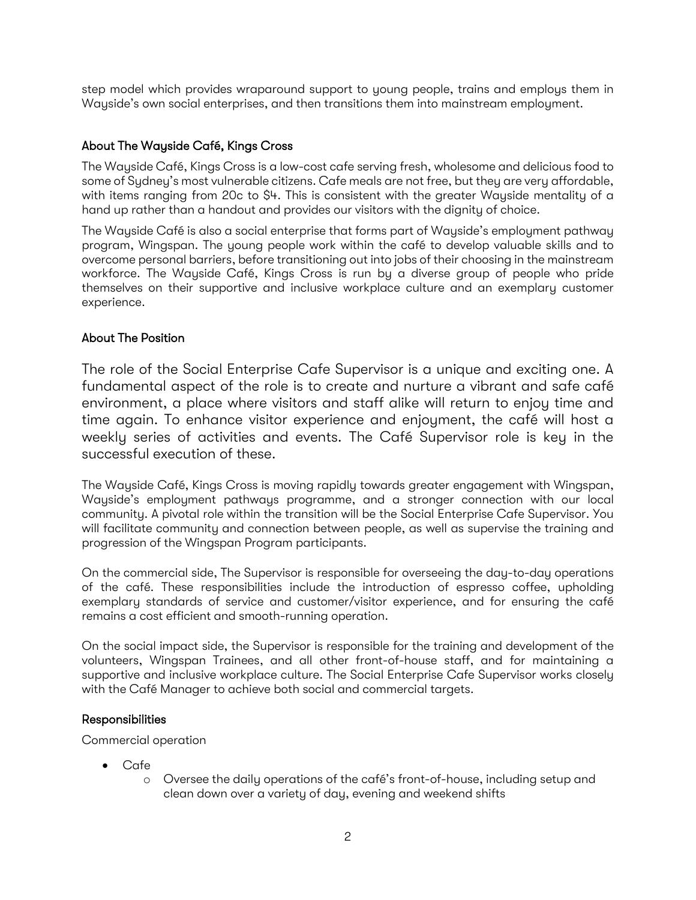step model which provides wraparound support to young people, trains and employs them in Wayside's own social enterprises, and then transitions them into mainstream employment.

### About The Wayside Café, Kings Cross

The Wayside Café, Kings Cross is a low-cost cafe serving fresh, wholesome and delicious food to some of Sydney's most vulnerable citizens. Cafe meals are not free, but they are very affordable, with items ranging from 20c to \$4. This is consistent with the greater Wayside mentality of a hand up rather than a handout and provides our visitors with the dignity of choice.

The Wayside Café is also a social enterprise that forms part of Wayside's employment pathway program, Wingspan. The young people work within the café to develop valuable skills and to overcome personal barriers, before transitioning out into jobs of their choosing in the mainstream workforce. The Wayside Café, Kings Cross is run by a diverse group of people who pride themselves on their supportive and inclusive workplace culture and an exemplary customer experience.

### About The Position

The role of the Social Enterprise Cafe Supervisor is a unique and exciting one. A fundamental aspect of the role is to create and nurture a vibrant and safe café environment, a place where visitors and staff alike will return to enjoy time and time again. To enhance visitor experience and enjoyment, the café will host a weekly series of activities and events. The Café Supervisor role is key in the successful execution of these.

The Wayside Café, Kings Cross is moving rapidly towards greater engagement with Wingspan, Wayside's employment pathways programme, and a stronger connection with our local community. A pivotal role within the transition will be the Social Enterprise Cafe Supervisor. You will facilitate community and connection between people, as well as supervise the training and progression of the Wingspan Program participants.

On the commercial side, The Supervisor is responsible for overseeing the day-to-day operations of the café. These responsibilities include the introduction of espresso coffee, upholding exemplary standards of service and customer/visitor experience, and for ensuring the café remains a cost efficient and smooth-running operation.

On the social impact side, the Supervisor is responsible for the training and development of the volunteers, Wingspan Trainees, and all other front-of-house staff, and for maintaining a supportive and inclusive workplace culture. The Social Enterprise Cafe Supervisor works closely with the Café Manager to achieve both social and commercial targets.

### Responsibilities

Commercial operation

- Cafe
	- o Oversee the daily operations of the café's front-of-house, including setup and clean down over a variety of day, evening and weekend shifts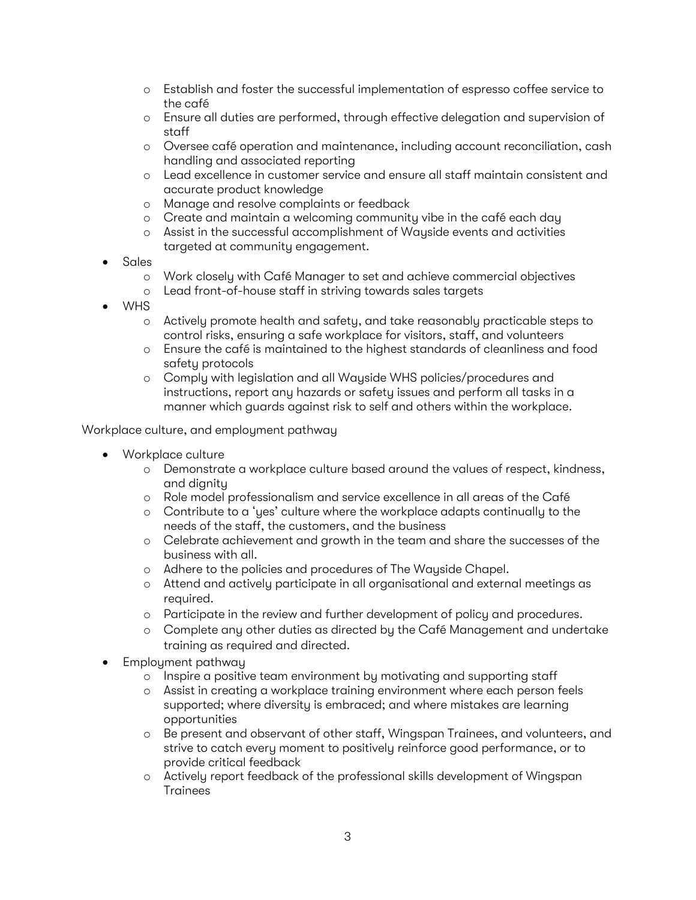- o Establish and foster the successful implementation of espresso coffee service to the café
- o Ensure all duties are performed, through effective delegation and supervision of staff
- o Oversee café operation and maintenance, including account reconciliation, cash handling and associated reporting
- o Lead excellence in customer service and ensure all staff maintain consistent and accurate product knowledge
- o Manage and resolve complaints or feedback
- o Create and maintain a welcoming community vibe in the café each day
- o Assist in the successful accomplishment of Wayside events and activities targeted at community engagement.
- Sales
	- o Work closely with Café Manager to set and achieve commercial objectives
	- o Lead front-of-house staff in striving towards sales targets
- WHS
	- o Actively promote health and safety, and take reasonably practicable steps to control risks, ensuring a safe workplace for visitors, staff, and volunteers
	- o Ensure the café is maintained to the highest standards of cleanliness and food safety protocols
	- o Comply with legislation and all Wayside WHS policies/procedures and instructions, report any hazards or safety issues and perform all tasks in a manner which guards against risk to self and others within the workplace.

Workplace culture, and employment pathway

- Workplace culture
	- o Demonstrate a workplace culture based around the values of respect, kindness, and dignity
	- o Role model professionalism and service excellence in all areas of the Café
	- o Contribute to a 'yes' culture where the workplace adapts continually to the needs of the staff, the customers, and the business
	- o Celebrate achievement and growth in the team and share the successes of the business with all.
	- o Adhere to the policies and procedures of The Wayside Chapel.
	- o Attend and actively participate in all organisational and external meetings as required.
	- o Participate in the review and further development of policy and procedures.
	- o Complete any other duties as directed by the Café Management and undertake training as required and directed.
- Employment pathway
	- o Inspire a positive team environment by motivating and supporting staff
	- o Assist in creating a workplace training environment where each person feels supported; where diversity is embraced; and where mistakes are learning opportunities
	- o Be present and observant of other staff, Wingspan Trainees, and volunteers, and strive to catch every moment to positively reinforce good performance, or to provide critical feedback
	- o Actively report feedback of the professional skills development of Wingspan Trainees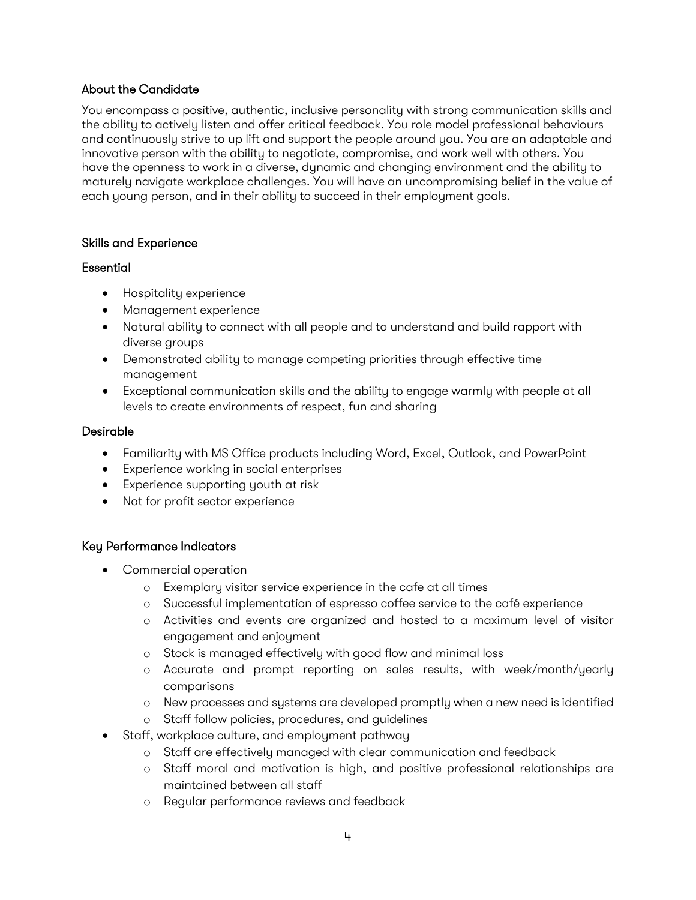## About the Candidate

You encompass a positive, authentic, inclusive personality with strong communication skills and the ability to actively listen and offer critical feedback. You role model professional behaviours and continuously strive to up lift and support the people around you. You are an adaptable and innovative person with the ability to negotiate, compromise, and work well with others. You have the openness to work in a diverse, dynamic and changing environment and the ability to maturely navigate workplace challenges. You will have an uncompromising belief in the value of each young person, and in their ability to succeed in their employment goals.

### Skills and Experience

## Essential

- Hospitality experience
- Management experience
- Natural ability to connect with all people and to understand and build rapport with diverse groups
- Demonstrated ability to manage competing priorities through effective time management
- Exceptional communication skills and the ability to engage warmly with people at all levels to create environments of respect, fun and sharing

## Desirable

- Familiarity with MS Office products including Word, Excel, Outlook, and PowerPoint
- Experience working in social enterprises
- Experience supporting youth at risk
- Not for profit sector experience

# Key Performance Indicators

- Commercial operation
	- o Exemplary visitor service experience in the cafe at all times
	- o Successful implementation of espresso coffee service to the café experience
	- o Activities and events are organized and hosted to a maximum level of visitor engagement and enjoyment
	- o Stock is managed effectively with good flow and minimal loss
	- o Accurate and prompt reporting on sales results, with week/month/yearly comparisons
	- o New processes and systems are developed promptly when a new need is identified
	- o Staff follow policies, procedures, and guidelines
- Staff, workplace culture, and employment pathway
	- o Staff are effectively managed with clear communication and feedback
	- o Staff moral and motivation is high, and positive professional relationships are maintained between all staff
	- o Regular performance reviews and feedback